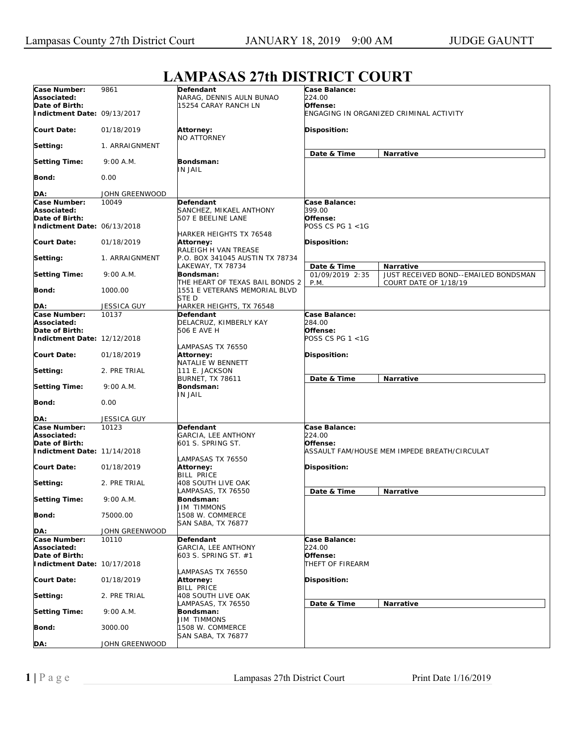## **LAMPASAS 27th DISTRICT COURT**

| Case Number:<br>Associated:   | 9861               | Defendant<br>NARAG, DENNIS AULN BUNAO                   | Case Balance:<br>224.00                                         |
|-------------------------------|--------------------|---------------------------------------------------------|-----------------------------------------------------------------|
| Date of Birth:                |                    | 15254 CARAY RANCH LN                                    | Offense:                                                        |
| Indictment Date: 09/13/2017   |                    |                                                         | ENGAGING IN ORGANIZED CRIMINAL ACTIVITY                         |
| <b>Court Date:</b>            | 01/18/2019         | <b>Attorney:</b><br><b>NO ATTORNEY</b>                  | <b>Disposition:</b>                                             |
| Setting:                      | 1. ARRAIGNMENT     |                                                         | Date & Time<br><b>Narrative</b>                                 |
| <b>Setting Time:</b>          | 9:00 A.M.          | Bondsman:<br><b>IN JAIL</b>                             |                                                                 |
| Bond:                         | 0.00               |                                                         |                                                                 |
| DA:                           | JOHN GREENWOOD     |                                                         |                                                                 |
| Case Number:                  | 10049              | Defendant                                               | Case Balance:                                                   |
| Associated:<br>Date of Birth: |                    | SANCHEZ, MIKAEL ANTHONY<br>507 E BEELINE LANE           | 399.00<br>Offense:                                              |
| Indictment Date: 06/13/2018   |                    |                                                         | <i>POSS CS PG 1 &lt;1G</i>                                      |
|                               |                    | HARKER HEIGHTS TX 76548                                 |                                                                 |
| <b>Court Date:</b>            | 01/18/2019         | Attorney:                                               | <b>Disposition:</b>                                             |
| Setting:                      | 1. ARRAIGNMENT     | RALEIGH H VAN TREASE<br>P.O. BOX 341045 AUSTIN TX 78734 |                                                                 |
|                               |                    | LAKEWAY, TX 78734                                       | Date & Time<br>Narrative                                        |
| <b>Setting Time:</b>          | 9:00 A.M.          | Bondsman:<br>THE HEART OF TEXAS BAIL BONDS 2            | 01/09/2019 2:35<br>JUST RECEIVED BOND--EMAILED BONDSMAN<br>P.M. |
| Bond:                         | 1000.00            | 1551 E VETERANS MEMORIAL BLVD                           | COURT DATE OF 1/18/19                                           |
| DA:                           | <b>JESSICA GUY</b> | STE D<br>HARKER HEIGHTS, TX 76548                       |                                                                 |
| Case Number:                  | 10137              | <b>Defendant</b>                                        | Case Balance:                                                   |
| Associated:                   |                    | DELACRUZ, KIMBERLY KAY                                  | 284.00                                                          |
| Date of Birth:                |                    | 506 E AVE H                                             | Offense:                                                        |
| Indictment Date: 12/12/2018   |                    | LAMPASAS TX 76550                                       | POSS CS PG 1 <1G                                                |
| <b>Court Date:</b>            | 01/18/2019         | Attorney:<br>NATALIE W BENNETT                          | <b>Disposition:</b>                                             |
| Setting:                      | 2. PRE TRIAL       | 111 E. JACKSON                                          |                                                                 |
| <b>Setting Time:</b>          | 9:00 A.M.          | <b>BURNET, TX 78611</b><br>Bondsman:<br>IN JAIL         | Date & Time<br><b>Narrative</b>                                 |
| Bond:                         | 0.00               |                                                         |                                                                 |
| DA:                           | <b>JESSICA GUY</b> |                                                         |                                                                 |
| Case Number:                  | 10123              | Defendant                                               | Case Balance:                                                   |
| Associated:<br>Date of Birth: |                    | GARCIA, LEE ANTHONY<br>601 S. SPRING ST.                | 224.00<br>Offense:                                              |
| Indictment Date: 11/14/2018   |                    |                                                         | ASSAULT FAM/HOUSE MEM IMPEDE BREATH/CIRCULAT                    |
|                               |                    | LAMPASAS TX 76550                                       |                                                                 |
| <b>Court Date:</b>            | 01/18/2019         | Attorney:<br>BILL PRICE                                 | <b>Disposition:</b>                                             |
| Setting:                      | 2. PRE TRIAL       | 408 SOUTH LIVE OAK<br>LAMPASAS, TX 76550                | Date & Time<br>Narrative                                        |
| <b>Setting Time:</b>          | 9:00 A.M.          | Bondsman:<br>JIM TIMMONS                                |                                                                 |
| Bond:                         | 75000.00           | 1508 W. COMMERCE<br>SAN SABA, TX 76877                  |                                                                 |
| DA:                           | JOHN GREENWOOD     |                                                         |                                                                 |
| Case Number:<br>Associated:   | 10110              | Defendant<br><b>GARCIA, LEE ANTHONY</b>                 | Case Balance:<br>224.00                                         |
| Date of Birth:                |                    | 603 S. SPRING ST. #1                                    | Offense:                                                        |
| Indictment Date: 10/17/2018   |                    |                                                         | THEFT OF FIREARM                                                |
| <b>Court Date:</b>            | 01/18/2019         | LAMPASAS TX 76550<br>Attorney:                          | Disposition:                                                    |
| Setting:                      | 2. PRE TRIAL       | <b>BILL PRICE</b><br>408 SOUTH LIVE OAK                 |                                                                 |
| <b>Setting Time:</b>          | 9:00 A.M.          | LAMPASAS, TX 76550<br>Bondsman:                         | Date & Time<br>Narrative                                        |
|                               |                    | <b>JIM TIMMONS</b>                                      |                                                                 |
| Bond:                         | 3000.00            | 1508 W. COMMERCE<br>SAN SABA, TX 76877                  |                                                                 |
| DA:                           | JOHN GREENWOOD     |                                                         |                                                                 |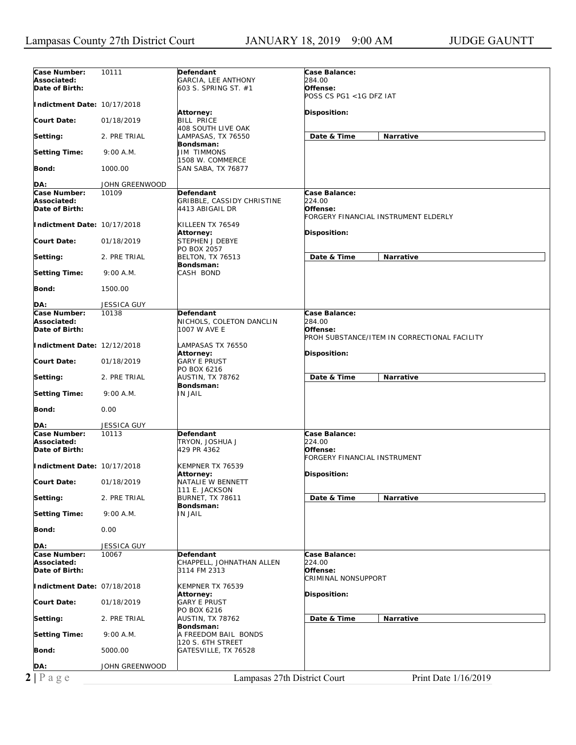| Case Number:                | 10111              | Defendant                    | Case Balance:                                |
|-----------------------------|--------------------|------------------------------|----------------------------------------------|
| Associated:                 |                    |                              | 284.00                                       |
|                             |                    | GARCIA, LEE ANTHONY          |                                              |
| Date of Birth:              |                    | 603 S. SPRING ST. #1         | Offense:                                     |
|                             |                    |                              | POSS CS PG1 <1G DFZ IAT                      |
| Indictment Date: 10/17/2018 |                    |                              |                                              |
|                             |                    | <b>Attorney:</b>             | Disposition:                                 |
| Court Date:                 | 01/18/2019         | <b>BILL PRICE</b>            |                                              |
|                             |                    | 408 SOUTH LIVE OAK           |                                              |
| Setting:                    | 2. PRE TRIAL       | LAMPASAS, TX 76550           | Date & Time<br>Narrative                     |
|                             |                    | Bondsman:                    |                                              |
| <b>Setting Time:</b>        | 9:00 A.M.          | <b>JIM TIMMONS</b>           |                                              |
|                             |                    | 1508 W. COMMERCE             |                                              |
| Bond:                       | 1000.00            |                              |                                              |
|                             |                    | SAN SABA, TX 76877           |                                              |
|                             |                    |                              |                                              |
| DA:                         | JOHN GREENWOOD     |                              |                                              |
| Case Number:                | 10109              | Defendant                    | Case Balance:                                |
| Associated:                 |                    | GRIBBLE, CASSIDY CHRISTINE   | 224.00                                       |
| Date of Birth:              |                    | 4413 ABIGAIL DR              | Offense:                                     |
|                             |                    |                              | FORGERY FINANCIAL INSTRUMENT ELDERLY         |
| Indictment Date: 10/17/2018 |                    | KILLEEN TX 76549             |                                              |
|                             |                    | Attorney:                    | <b>Disposition:</b>                          |
| Court Date:                 | 01/18/2019         | STEPHEN J DEBYE              |                                              |
|                             |                    |                              |                                              |
|                             |                    | PO BOX 2057                  |                                              |
| Setting:                    | 2. PRE TRIAL       | <b>BELTON, TX 76513</b>      | <b>Narrative</b><br>Date & Time              |
|                             |                    | Bondsman:                    |                                              |
| <b>Setting Time:</b>        | 9:00 A.M.          | CASH BOND                    |                                              |
|                             |                    |                              |                                              |
| <b>Bond:</b>                | 1500.00            |                              |                                              |
|                             |                    |                              |                                              |
| DA:                         | <b>JESSICA GUY</b> |                              |                                              |
| Case Number:                | 10138              | <b>Defendant</b>             | Case Balance:                                |
| Associated:                 |                    | NICHOLS, COLETON DANCLIN     | 284.00                                       |
| Date of Birth:              |                    |                              | Offense:                                     |
|                             |                    | 1007 W AVE E                 |                                              |
|                             |                    |                              | PROH SUBSTANCE/ITEM IN CORRECTIONAL FACILITY |
| Indictment Date: 12/12/2018 |                    | LAMPASAS TX 76550            |                                              |
|                             |                    | Attorney:                    | <b>Disposition:</b>                          |
| Court Date:                 | 01/18/2019         | <b>GARY E PRUST</b>          |                                              |
|                             |                    | PO BOX 6216                  |                                              |
| Setting:                    | 2. PRE TRIAL       | AUSTIN, TX 78762             | Date & Time<br>Narrative                     |
|                             |                    | Bondsman:                    |                                              |
| <b>Setting Time:</b>        | 9:00 A.M.          | IN JAIL                      |                                              |
|                             |                    |                              |                                              |
| Bond:                       | 0.00               |                              |                                              |
|                             |                    |                              |                                              |
|                             |                    |                              |                                              |
| DA:                         | <b>JESSICA GUY</b> |                              |                                              |
| Case Number:                | 10113              | Defendant                    | Case Balance:                                |
| Associated:                 |                    | TRYON, JOSHUA J              | 224.00                                       |
| Date of Birth:              |                    | 429 PR 4362                  | Offense:                                     |
|                             |                    |                              | FORGERY FINANCIAL INSTRUMENT                 |
| Indictment Date: 10/17/2018 |                    | KEMPNER TX 76539             |                                              |
|                             |                    | Attorney:                    | Disposition:                                 |
| Court Date:                 | 01/18/2019         | NATALIE W BENNETT            |                                              |
|                             |                    | 111 E. JACKSON               |                                              |
|                             | 2. PRE TRIAL       | <b>BURNET, TX 78611</b>      | Date & Time<br>Narrative                     |
| Setting:                    |                    |                              |                                              |
|                             |                    | Bondsman:                    |                                              |
| <b>Setting Time:</b>        | 9:00 A.M.          | IN JAIL                      |                                              |
|                             |                    |                              |                                              |
| Bond:                       | 0.00               |                              |                                              |
|                             |                    |                              |                                              |
| DA:                         | JESSICA GUY        |                              |                                              |
| Case Number:                | 10067              | Defendant                    | Case Balance:                                |
| Associated:                 |                    | CHAPPELL, JOHNATHAN ALLEN    | 224.00                                       |
| Date of Birth:              |                    | 3114 FM 2313                 | Offense:                                     |
|                             |                    |                              | <b>CRIMINAL NONSUPPORT</b>                   |
|                             |                    |                              |                                              |
| Indictment Date: 07/18/2018 |                    | KEMPNER TX 76539             |                                              |
|                             |                    | Attorney:                    | <b>Disposition:</b>                          |
| <b>Court Date:</b>          | 01/18/2019         | <b>GARY E PRUST</b>          |                                              |
|                             |                    | PO BOX 6216                  |                                              |
| Setting:                    | 2. PRE TRIAL       | <b>AUSTIN, TX 78762</b>      | Date & Time<br>Narrative                     |
|                             |                    | Bondsman:                    |                                              |
| <b>Setting Time:</b>        | 9:00 A.M.          | A FREEDOM BAIL BONDS         |                                              |
|                             |                    | 120 S. 6TH STREET            |                                              |
| <b>Bond:</b>                | 5000.00            | GATESVILLE, TX 76528         |                                              |
|                             |                    |                              |                                              |
|                             |                    |                              |                                              |
| DA:                         | JOHN GREENWOOD     |                              |                                              |
| $2 P \text{ age} $          |                    | Lampasas 27th District Court | Print Date 1/16/2019                         |
|                             |                    |                              |                                              |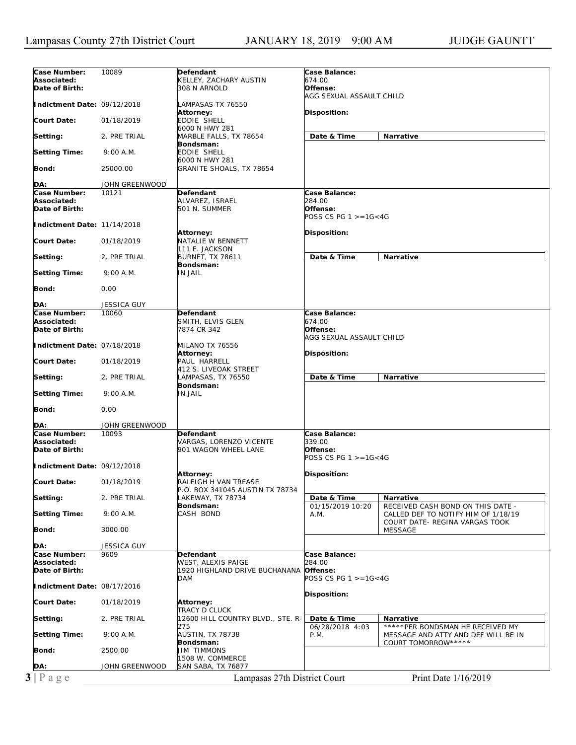| Case Number:                | 10089              | Defendant                              | Case Balance:              |                                     |
|-----------------------------|--------------------|----------------------------------------|----------------------------|-------------------------------------|
| Associated:                 |                    | KELLEY, ZACHARY AUSTIN                 | 674.00                     |                                     |
| Date of Birth:              |                    | 308 N ARNOLD                           | Offense:                   |                                     |
|                             |                    |                                        | AGG SEXUAL ASSAULT CHILD   |                                     |
| Indictment Date: 09/12/2018 |                    | LAMPASAS TX 76550                      |                            |                                     |
|                             |                    | Attorney:                              | Disposition:               |                                     |
| Court Date:                 | 01/18/2019         | EDDIE SHELL                            |                            |                                     |
|                             |                    | 6000 N HWY 281                         |                            |                                     |
| Setting:                    | 2. PRE TRIAL       | MARBLE FALLS, TX 78654                 | Date & Time                | Narrative                           |
|                             |                    | Bondsman:                              |                            |                                     |
| <b>Setting Time:</b>        | 9:00 A.M.          | EDDIE SHELL                            |                            |                                     |
|                             |                    | 6000 N HWY 281                         |                            |                                     |
| Bond:                       | 25000.00           | GRANITE SHOALS, TX 78654               |                            |                                     |
|                             |                    |                                        |                            |                                     |
| DA:                         | JOHN GREENWOOD     |                                        |                            |                                     |
| Case Number:                | 10121              | Defendant                              | Case Balance:              |                                     |
| Associated:                 |                    | ALVAREZ, ISRAEL                        | 284.00                     |                                     |
| Date of Birth:              |                    | 501 N. SUMMER                          | Offense:                   |                                     |
|                             |                    |                                        | POSS CS PG $1 > = 1G < 4G$ |                                     |
| Indictment Date: 11/14/2018 |                    |                                        |                            |                                     |
|                             |                    | Attorney:                              | <b>Disposition:</b>        |                                     |
| Court Date:                 | 01/18/2019         | NATALIE W BENNETT                      |                            |                                     |
|                             |                    | 111 E. JACKSON                         |                            |                                     |
| Setting:                    | 2. PRE TRIAL       | <b>BURNET, TX 78611</b>                | Date & Time                | Narrative                           |
|                             |                    | Bondsman:                              |                            |                                     |
|                             |                    | IN JAIL                                |                            |                                     |
| <b>Setting Time:</b>        | 9:00 A.M.          |                                        |                            |                                     |
| <b>Bond:</b>                | 0.00               |                                        |                            |                                     |
|                             |                    |                                        |                            |                                     |
| DA:                         | <b>JESSICA GUY</b> |                                        |                            |                                     |
| Case Number:                | 10060              | <b>Defendant</b>                       | Case Balance:              |                                     |
|                             |                    |                                        |                            |                                     |
| Associated:                 |                    | SMITH, ELVIS GLEN                      | 674.00<br>Offense:         |                                     |
| Date of Birth:              |                    | 7874 CR 342                            |                            |                                     |
|                             |                    |                                        | AGG SEXUAL ASSAULT CHILD   |                                     |
| Indictment Date: 07/18/2018 |                    | MILANO TX 76556                        |                            |                                     |
|                             |                    | Attorney:                              | Disposition:               |                                     |
| Court Date:                 | 01/18/2019         | PAUL HARRELL                           |                            |                                     |
|                             |                    | 412 S. LIVEOAK STREET                  |                            |                                     |
| Setting:                    | 2. PRE TRIAL       | LAMPASAS, TX 76550                     | Date & Time                | Narrative                           |
|                             |                    | Bondsman:                              |                            |                                     |
| <b>Setting Time:</b>        | 9:00 A.M.          | IN JAIL                                |                            |                                     |
|                             |                    |                                        |                            |                                     |
| <b>Bond:</b>                | 0.00               |                                        |                            |                                     |
|                             |                    |                                        |                            |                                     |
| DA:                         | JOHN GREENWOOD     |                                        |                            |                                     |
| Case Number:                | 10093              | Defendant                              | Case Balance:              |                                     |
| Associated:                 |                    | VARGAS, LORENZO VICENTE                | 339.00                     |                                     |
| Date of Birth:              |                    | 901 WAGON WHEEL LANE                   | Offense:                   |                                     |
|                             |                    |                                        | POSS CS PG $1 > = 16 < 4G$ |                                     |
| Indictment Date: 09/12/2018 |                    |                                        |                            |                                     |
|                             |                    | Attorney:                              | Disposition:               |                                     |
| Court Date:                 | 01/18/2019         | RALEIGH H VAN TREASE                   |                            |                                     |
|                             |                    | P.O. BOX 341045 AUSTIN TX 78734        |                            |                                     |
| Setting:                    | 2. PRE TRIAL       | LAKEWAY, TX 78734                      | Date & Time                | Narrative                           |
|                             |                    | Bondsman:                              | 01/15/2019 10:20           | RECEIVED CASH BOND ON THIS DATE -   |
| <b>Setting Time:</b>        | 9:00 A.M.          | CASH BOND                              | A.M.                       | CALLED DEF TO NOTIFY HIM OF 1/18/19 |
|                             |                    |                                        |                            | COURT DATE- REGINA VARGAS TOOK      |
| <b>Bond:</b>                | 3000.00            |                                        |                            | <b>MESSAGE</b>                      |
|                             |                    |                                        |                            |                                     |
| DA:                         | <b>JESSICA GUY</b> |                                        |                            |                                     |
| Case Number:                | 9609               | Defendant                              | Case Balance:              |                                     |
| Associated:                 |                    | WEST, ALEXIS PAIGE                     | 284.00                     |                                     |
| Date of Birth:              |                    | 1920 HIGHLAND DRIVE BUCHANANA Offense: |                            |                                     |
|                             |                    | DAM                                    | POSS CS PG $1 > = 16 < 4G$ |                                     |
| Indictment Date: 08/17/2016 |                    |                                        |                            |                                     |
|                             |                    |                                        | <b>Disposition:</b>        |                                     |
| <b>Court Date:</b>          | 01/18/2019         | Attorney:                              |                            |                                     |
|                             |                    | TRACY D CLUCK                          |                            |                                     |
| Setting:                    | 2. PRE TRIAL       | 12600 HILL COUNTRY BLVD., STE. R-      | Date & Time                | <b>Narrative</b>                    |
|                             |                    | 275                                    | 06/28/2018 4:03            | *****PER BONDSMAN HE RECEIVED MY    |
| <b>Setting Time:</b>        | 9:00 A.M.          | AUSTIN, TX 78738                       | P.M.                       | MESSAGE AND ATTY AND DEF WILL BE IN |
|                             |                    | Bondsman:                              |                            | COURT TOMORROW *****                |
| Bond:                       | 2500.00            | JIM TIMMONS                            |                            |                                     |
|                             |                    | 1508 W. COMMERCE                       |                            |                                     |
| DA:                         | JOHN GREENWOOD     | SAN SABA, TX 76877                     |                            |                                     |
| $3 P$ age                   |                    |                                        |                            |                                     |
|                             |                    | Lampasas 27th District Court           |                            | Print Date 1/16/2019                |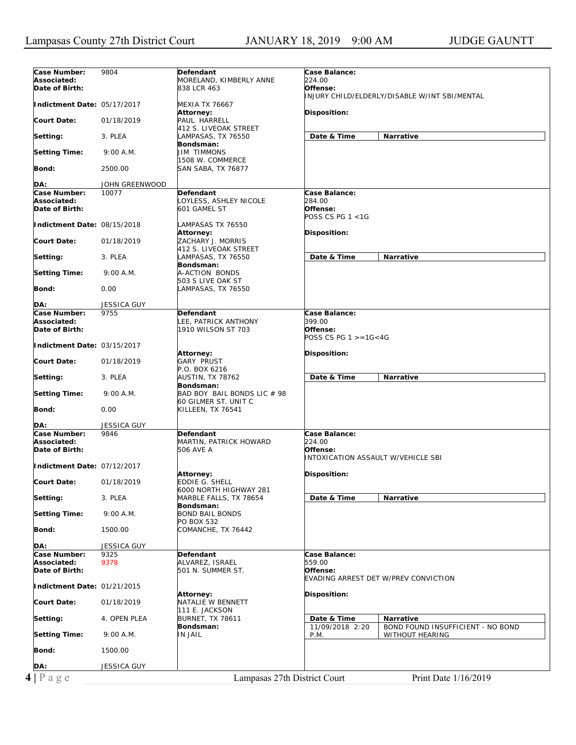| $4 P \text{ age}$                             |                            | Lampasas 27th District Court                                   | Print Date 1/16/2019                                                            |
|-----------------------------------------------|----------------------------|----------------------------------------------------------------|---------------------------------------------------------------------------------|
| DA:                                           | <b>JESSICA GUY</b>         |                                                                |                                                                                 |
|                                               |                            |                                                                |                                                                                 |
| Bond:                                         | 1500.00                    |                                                                |                                                                                 |
| <b>Setting Time:</b>                          | 9:00 A.M.                  | Bondsman:<br><b>IN JAIL</b>                                    | 11/09/2018 2:20<br>BOND FOUND INSUFFICIENT - NO BOND<br>P.M.<br>WITHOUT HEARING |
| <b>Court Date:</b><br>Setting:                | 01/18/2019<br>4. OPEN PLEA | NATALIE W BENNETT<br>111 E. JACKSON<br><b>BURNET, TX 78611</b> | Date & Time<br>Narrative                                                        |
| Indictment Date: 01/21/2015                   |                            | Attorney:                                                      | <b>Disposition:</b>                                                             |
| Date of Birth:                                |                            | 501 N. SUMMER ST.                                              | Offense:<br>EVADING ARREST DET W/PREV CONVICTION                                |
| Associated:                                   | 9378                       | ALVAREZ, ISRAEL                                                | 559.00                                                                          |
| DA:<br>Case Number:                           | JESSICA GUY<br>9325        | <b>Defendant</b>                                               | Case Balance:                                                                   |
| Bond:                                         | 1500.00                    | COMANCHE, TX 76442                                             |                                                                                 |
| <b>Setting Time:</b>                          | 9:00 A.M.                  | <b>BOND BAIL BONDS</b><br>PO BOX 532                           |                                                                                 |
| Setting:                                      | 3. PLEA                    | MARBLE FALLS, TX 78654<br>Bondsman:                            | Date & Time<br>Narrative                                                        |
| <b>Court Date:</b>                            | 01/18/2019                 | Attorney:<br>EDDIE G. SHELL<br>6000 NORTH HIGHWAY 281          | Disposition:                                                                    |
| Indictment Date: 07/12/2017                   |                            |                                                                | INTOXICATION ASSAULT W/VEHICLE SBI                                              |
| Case Number:<br>Associated:<br>Date of Birth: | 9846                       | Defendant<br>MARTIN, PATRICK HOWARD<br><b>506 AVE A</b>        | Case Balance:<br>224.00<br>Offense:                                             |
| DA:                                           | JESSICA GUY                |                                                                |                                                                                 |
| Bond:                                         | 0.00                       | KILLEEN, TX 76541                                              |                                                                                 |
| <b>Setting Time:</b>                          | 9:00 A.M.                  | BAD BOY BAIL BONDS LIC # 98<br>60 GILMER ST. UNIT C            |                                                                                 |
| Setting:                                      | 3. PLEA                    | P.O. BOX 6216<br>AUSTIN, TX 78762<br>Bondsman:                 | Date & Time<br>Narrative                                                        |
| <b>Court Date:</b>                            | 01/18/2019                 | <b>Attorney:</b><br><b>GARY PRUST</b>                          | Disposition:                                                                    |
| Indictment Date: 03/15/2017                   |                            |                                                                | POSS CS PG $1 > = 16 < 4G$                                                      |
| Associated:<br>Date of Birth:                 |                            | <b>LEE, PATRICK ANTHONY</b><br>1910 WILSON ST 703              | 399.00<br>Offense:                                                              |
| DA:<br>Case Number:                           | <b>JESSICA GUY</b><br>9755 | Defendant                                                      | Case Balance:                                                                   |
| Bond:                                         | 0.00                       | LAMPASAS, TX 76550                                             |                                                                                 |
| <b>Setting Time:</b>                          | 9:00 A.M.                  | Bondsman:<br>A-ACTION BONDS<br>503 S LIVE OAK ST               |                                                                                 |
| Setting:                                      | 3. PLEA                    | 412 S. LIVEOAK STREET<br>LAMPASAS, TX 76550                    | Date & Time<br><b>Narrative</b>                                                 |
| <b>Court Date:</b>                            | 01/18/2019                 | Attorney:<br>ZACHARY J. MORRIS                                 | Disposition:                                                                    |
| Date of Birth:<br>Indictment Date: 08/15/2018 |                            | 601 GAMEL ST<br>LAMPASAS TX 76550                              | Offense:<br>POSS CS PG 1 <1G                                                    |
| Associated:                                   |                            | LOYLESS, ASHLEY NICOLE                                         | 284.00                                                                          |
| DA:<br>Case Number:                           | JOHN GREENWOOD<br>10077    | Defendant                                                      | Case Balance:                                                                   |
| Bond:                                         | 2500.00                    | 1508 W. COMMERCE<br><b>SAN SABA, TX 76877</b>                  |                                                                                 |
| <b>Setting Time:</b>                          | 9:00 A.M.                  | Bondsman:<br><b>JIM TIMMONS</b>                                |                                                                                 |
| Setting:                                      | 3. PLEA                    | 412 S. LIVEOAK STREET<br>LAMPASAS, TX 76550                    | Date & Time<br>Narrative                                                        |
| <b>Court Date:</b>                            | 01/18/2019                 | Attorney:<br>PAUL HARRELL                                      | <b>Disposition:</b>                                                             |
| Indictment Date: 05/17/2017                   |                            | <b>MEXIA TX 76667</b>                                          | INJURY CHILD/ELDERLY/DISABLE W/INT SBI/MENTAL                                   |
| Associated:<br>Date of Birth:                 |                            | MORELAND, KIMBERLY ANNE<br>838 LCR 463                         | 224.00<br>Offense:                                                              |
| Case Number:                                  | 9804                       | Defendant                                                      | Case Balance:                                                                   |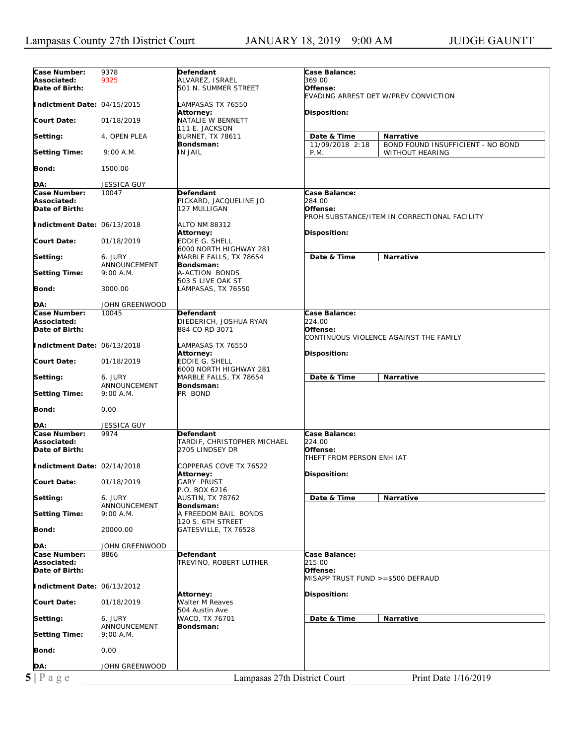| Case Number:<br>Associated:                                                                                                                                                                                                                                                                                       | 9378           |                             |                                                      |
|-------------------------------------------------------------------------------------------------------------------------------------------------------------------------------------------------------------------------------------------------------------------------------------------------------------------|----------------|-----------------------------|------------------------------------------------------|
|                                                                                                                                                                                                                                                                                                                   |                | Defendant                   | <b>Case Balance:</b>                                 |
|                                                                                                                                                                                                                                                                                                                   | 9325           | ALVAREZ, ISRAEL             | 369.00                                               |
|                                                                                                                                                                                                                                                                                                                   |                |                             |                                                      |
| Date of Birth:                                                                                                                                                                                                                                                                                                    |                | 501 N. SUMMER STREET        | Offense:                                             |
|                                                                                                                                                                                                                                                                                                                   |                |                             | EVADING ARREST DET W/PREV CONVICTION                 |
| Indictment Date: 04/15/2015                                                                                                                                                                                                                                                                                       |                | LAMPASAS TX 76550           |                                                      |
|                                                                                                                                                                                                                                                                                                                   |                | Attorney:                   | Disposition:                                         |
| <b>Court Date:</b>                                                                                                                                                                                                                                                                                                | 01/18/2019     | NATALIE W BENNETT           |                                                      |
|                                                                                                                                                                                                                                                                                                                   |                |                             |                                                      |
|                                                                                                                                                                                                                                                                                                                   |                | 111 E. JACKSON              |                                                      |
| Setting:                                                                                                                                                                                                                                                                                                          | 4. OPEN PLEA   | <b>BURNET, TX 78611</b>     | Date & Time<br>Narrative                             |
|                                                                                                                                                                                                                                                                                                                   |                | Bondsman:                   | 11/09/2018 2:18<br>BOND FOUND INSUFFICIENT - NO BOND |
| <b>Setting Time:</b>                                                                                                                                                                                                                                                                                              | 9:00 A.M.      | <b>IN JAIL</b>              | P.M.<br>WITHOUT HEARING                              |
|                                                                                                                                                                                                                                                                                                                   |                |                             |                                                      |
| Bond:                                                                                                                                                                                                                                                                                                             | 1500.00        |                             |                                                      |
|                                                                                                                                                                                                                                                                                                                   |                |                             |                                                      |
|                                                                                                                                                                                                                                                                                                                   |                |                             |                                                      |
| DA:                                                                                                                                                                                                                                                                                                               | JESSICA GUY    |                             |                                                      |
| Case Number:                                                                                                                                                                                                                                                                                                      | 10047          | Defendant                   | Case Balance:                                        |
| Associated:                                                                                                                                                                                                                                                                                                       |                | PICKARD, JACQUELINE JO      | 284.00                                               |
| Date of Birth:                                                                                                                                                                                                                                                                                                    |                | 127 MULLIGAN                | Offense:                                             |
|                                                                                                                                                                                                                                                                                                                   |                |                             | PROH SUBSTANCE/ITEM IN CORRECTIONAL FACILITY         |
| Indictment Date: 06/13/2018                                                                                                                                                                                                                                                                                       |                | <b>ALTO NM 88312</b>        |                                                      |
|                                                                                                                                                                                                                                                                                                                   |                |                             |                                                      |
|                                                                                                                                                                                                                                                                                                                   |                | Attorney:                   | Disposition:                                         |
| <b>Court Date:</b>                                                                                                                                                                                                                                                                                                | 01/18/2019     | <b>EDDIE G. SHELL</b>       |                                                      |
|                                                                                                                                                                                                                                                                                                                   |                | 6000 NORTH HIGHWAY 281      |                                                      |
| Setting:                                                                                                                                                                                                                                                                                                          | 6. JURY        | MARBLE FALLS, TX 78654      | Date & Time<br>Narrative                             |
|                                                                                                                                                                                                                                                                                                                   | ANNOUNCEMENT   | Bondsman:                   |                                                      |
|                                                                                                                                                                                                                                                                                                                   |                |                             |                                                      |
| <b>Setting Time:</b>                                                                                                                                                                                                                                                                                              | 9:00 A.M.      | A-ACTION BONDS              |                                                      |
|                                                                                                                                                                                                                                                                                                                   |                | 503 S LIVE OAK ST           |                                                      |
| Bond:                                                                                                                                                                                                                                                                                                             | 3000.00        | LAMPASAS, TX 76550          |                                                      |
|                                                                                                                                                                                                                                                                                                                   |                |                             |                                                      |
| DA:                                                                                                                                                                                                                                                                                                               | JOHN GREENWOOD |                             |                                                      |
| Case Number:                                                                                                                                                                                                                                                                                                      | 10045          | Defendant                   | Case Balance:                                        |
|                                                                                                                                                                                                                                                                                                                   |                |                             |                                                      |
| Associated:                                                                                                                                                                                                                                                                                                       |                | DIEDERICH, JOSHUA RYAN      | 224.00                                               |
| Date of Birth:                                                                                                                                                                                                                                                                                                    |                | 884 CO RD 3071              | Offense:                                             |
|                                                                                                                                                                                                                                                                                                                   |                |                             | CONTINUOUS VIOLENCE AGAINST THE FAMILY               |
| Indictment Date: 06/13/2018                                                                                                                                                                                                                                                                                       |                | LAMPASAS TX 76550           |                                                      |
|                                                                                                                                                                                                                                                                                                                   |                | Attorney:                   | Disposition:                                         |
| <b>Court Date:</b>                                                                                                                                                                                                                                                                                                | 01/18/2019     | EDDIE G. SHELL              |                                                      |
|                                                                                                                                                                                                                                                                                                                   |                |                             |                                                      |
|                                                                                                                                                                                                                                                                                                                   |                | 6000 NORTH HIGHWAY 281      |                                                      |
| Setting:                                                                                                                                                                                                                                                                                                          | 6. JURY        | MARBLE FALLS, TX 78654      | Date & Time<br>Narrative                             |
|                                                                                                                                                                                                                                                                                                                   | ANNOUNCEMENT   | Bondsman:                   |                                                      |
|                                                                                                                                                                                                                                                                                                                   |                |                             |                                                      |
|                                                                                                                                                                                                                                                                                                                   |                |                             |                                                      |
|                                                                                                                                                                                                                                                                                                                   | 9:00 A.M.      | PR BOND                     |                                                      |
|                                                                                                                                                                                                                                                                                                                   |                |                             |                                                      |
|                                                                                                                                                                                                                                                                                                                   | 0.00           |                             |                                                      |
|                                                                                                                                                                                                                                                                                                                   |                |                             |                                                      |
|                                                                                                                                                                                                                                                                                                                   | JESSICA GUY    |                             |                                                      |
|                                                                                                                                                                                                                                                                                                                   | 9974           | Defendant                   | Case Balance:                                        |
|                                                                                                                                                                                                                                                                                                                   |                | TARDIF, CHRISTOPHER MICHAEL | 224.00                                               |
|                                                                                                                                                                                                                                                                                                                   |                |                             | Offense:                                             |
|                                                                                                                                                                                                                                                                                                                   |                | 2705 LINDSEY DR             |                                                      |
|                                                                                                                                                                                                                                                                                                                   |                |                             | THEFT FROM PERSON ENH IAT                            |
|                                                                                                                                                                                                                                                                                                                   |                | COPPERAS COVE TX 76522      |                                                      |
|                                                                                                                                                                                                                                                                                                                   |                | Attorney:                   | Disposition:                                         |
|                                                                                                                                                                                                                                                                                                                   | 01/18/2019     | <b>GARY PRUST</b>           |                                                      |
|                                                                                                                                                                                                                                                                                                                   |                | P.O. BOX 6216               |                                                      |
|                                                                                                                                                                                                                                                                                                                   |                |                             |                                                      |
|                                                                                                                                                                                                                                                                                                                   | 6. JURY        | AUSTIN, TX 78762            | Date & Time<br>Narrative                             |
|                                                                                                                                                                                                                                                                                                                   | ANNOUNCEMENT   | Bondsman:                   |                                                      |
|                                                                                                                                                                                                                                                                                                                   | 9:00 A.M.      | A FREEDOM BAIL BONDS        |                                                      |
|                                                                                                                                                                                                                                                                                                                   |                | 120 S. 6TH STREET           |                                                      |
|                                                                                                                                                                                                                                                                                                                   | 20000.00       | GATESVILLE, TX 76528        |                                                      |
| Case Number:                                                                                                                                                                                                                                                                                                      |                |                             |                                                      |
|                                                                                                                                                                                                                                                                                                                   |                |                             |                                                      |
|                                                                                                                                                                                                                                                                                                                   | JOHN GREENWOOD |                             |                                                      |
|                                                                                                                                                                                                                                                                                                                   | 8866           | Defendant                   | Case Balance:                                        |
|                                                                                                                                                                                                                                                                                                                   |                | TREVINO, ROBERT LUTHER      | 215.00                                               |
|                                                                                                                                                                                                                                                                                                                   |                |                             | Offense:                                             |
|                                                                                                                                                                                                                                                                                                                   |                |                             | MISAPP TRUST FUND >=\$500 DEFRAUD                    |
|                                                                                                                                                                                                                                                                                                                   |                |                             |                                                      |
|                                                                                                                                                                                                                                                                                                                   |                |                             |                                                      |
|                                                                                                                                                                                                                                                                                                                   |                | Attorney:                   | Disposition:                                         |
|                                                                                                                                                                                                                                                                                                                   | 01/18/2019     | <b>Walter M Reaves</b>      |                                                      |
|                                                                                                                                                                                                                                                                                                                   |                | 504 Austin Ave              |                                                      |
|                                                                                                                                                                                                                                                                                                                   | 6. JURY        | WACO, TX 76701              | Date & Time<br>Narrative                             |
|                                                                                                                                                                                                                                                                                                                   | ANNOUNCEMENT   | Bondsman:                   |                                                      |
|                                                                                                                                                                                                                                                                                                                   | 9:00 A.M.      |                             |                                                      |
| Case Number:                                                                                                                                                                                                                                                                                                      |                |                             |                                                      |
|                                                                                                                                                                                                                                                                                                                   |                |                             |                                                      |
| <b>Setting Time:</b><br>Bond:<br>DA:<br>Associated:<br>Date of Birth:<br>Indictment Date: 02/14/2018<br><b>Court Date:</b><br>Setting:<br><b>Setting Time:</b><br>Bond:<br>DA:<br>Associated:<br>Date of Birth:<br>Indictment Date: 06/13/2012<br><b>Court Date:</b><br>Setting:<br><b>Setting Time:</b><br>Bond: | 0.00           |                             |                                                      |
|                                                                                                                                                                                                                                                                                                                   |                |                             |                                                      |
| DA:                                                                                                                                                                                                                                                                                                               | JOHN GREENWOOD |                             |                                                      |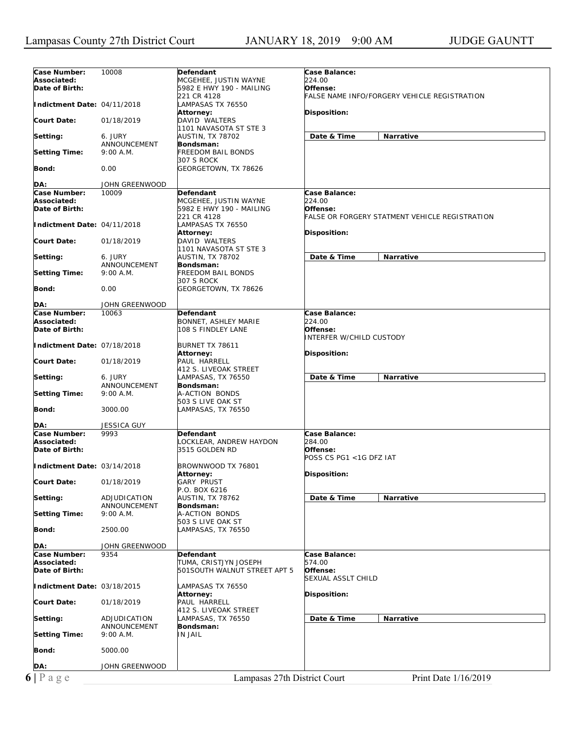| Case Number:<br>Associated:<br>Date of Birth:<br>Indictment Date: 04/11/2018<br><b>Court Date:</b><br>Setting:<br><b>Setting Time:</b><br>Bond:<br>0.00<br>DA:<br>Case Number:<br>Associated: | 10008<br>01/18/2019<br>6. JURY<br>ANNOUNCEMENT<br>9:00 A.M.<br>JOHN GREENWOOD | Defendant<br>MCGEHEE, JUSTIN WAYNE<br>5982 E HWY 190 - MAILING<br>221 CR 4128<br>LAMPASAS TX 76550<br>Attorney:<br>DAVID WALTERS<br>1101 NAVASOTA ST STE 3<br><b>AUSTIN, TX 78702</b><br>Bondsman:<br><b>FREEDOM BAIL BONDS</b><br><b>307 S ROCK</b><br>GEORGETOWN, TX 78626 | Case Balance:<br>224.00<br>Offense:<br>FALSE NAME INFO/FORGERY VEHICLE REGISTRATION<br>Disposition:<br>Date & Time<br>Narrative |
|-----------------------------------------------------------------------------------------------------------------------------------------------------------------------------------------------|-------------------------------------------------------------------------------|------------------------------------------------------------------------------------------------------------------------------------------------------------------------------------------------------------------------------------------------------------------------------|---------------------------------------------------------------------------------------------------------------------------------|
|                                                                                                                                                                                               |                                                                               |                                                                                                                                                                                                                                                                              |                                                                                                                                 |
|                                                                                                                                                                                               |                                                                               |                                                                                                                                                                                                                                                                              |                                                                                                                                 |
|                                                                                                                                                                                               |                                                                               |                                                                                                                                                                                                                                                                              |                                                                                                                                 |
|                                                                                                                                                                                               |                                                                               |                                                                                                                                                                                                                                                                              |                                                                                                                                 |
|                                                                                                                                                                                               |                                                                               |                                                                                                                                                                                                                                                                              |                                                                                                                                 |
|                                                                                                                                                                                               |                                                                               |                                                                                                                                                                                                                                                                              |                                                                                                                                 |
|                                                                                                                                                                                               |                                                                               |                                                                                                                                                                                                                                                                              |                                                                                                                                 |
|                                                                                                                                                                                               |                                                                               |                                                                                                                                                                                                                                                                              |                                                                                                                                 |
|                                                                                                                                                                                               |                                                                               |                                                                                                                                                                                                                                                                              |                                                                                                                                 |
|                                                                                                                                                                                               |                                                                               |                                                                                                                                                                                                                                                                              |                                                                                                                                 |
|                                                                                                                                                                                               |                                                                               |                                                                                                                                                                                                                                                                              |                                                                                                                                 |
|                                                                                                                                                                                               |                                                                               |                                                                                                                                                                                                                                                                              |                                                                                                                                 |
|                                                                                                                                                                                               |                                                                               |                                                                                                                                                                                                                                                                              |                                                                                                                                 |
|                                                                                                                                                                                               |                                                                               |                                                                                                                                                                                                                                                                              |                                                                                                                                 |
|                                                                                                                                                                                               |                                                                               |                                                                                                                                                                                                                                                                              |                                                                                                                                 |
|                                                                                                                                                                                               | 10009                                                                         | Defendant                                                                                                                                                                                                                                                                    | Case Balance:                                                                                                                   |
|                                                                                                                                                                                               |                                                                               | MCGEHEE, JUSTIN WAYNE                                                                                                                                                                                                                                                        | 224.00                                                                                                                          |
| Date of Birth:                                                                                                                                                                                |                                                                               | 5982 E HWY 190 - MAILING                                                                                                                                                                                                                                                     | Offense:                                                                                                                        |
|                                                                                                                                                                                               |                                                                               | 221 CR 4128                                                                                                                                                                                                                                                                  | FALSE OR FORGERY STATMENT VEHICLE REGISTRATION                                                                                  |
| Indictment Date: 04/11/2018                                                                                                                                                                   |                                                                               | LAMPASAS TX 76550                                                                                                                                                                                                                                                            |                                                                                                                                 |
|                                                                                                                                                                                               |                                                                               | Attorney:                                                                                                                                                                                                                                                                    | Disposition:                                                                                                                    |
| <b>Court Date:</b>                                                                                                                                                                            | 01/18/2019                                                                    | DAVID WALTERS                                                                                                                                                                                                                                                                |                                                                                                                                 |
|                                                                                                                                                                                               |                                                                               | 1101 NAVASOTA ST STE 3                                                                                                                                                                                                                                                       |                                                                                                                                 |
| Setting:                                                                                                                                                                                      | 6. JURY                                                                       | <b>AUSTIN, TX 78702</b>                                                                                                                                                                                                                                                      | Date & Time<br>Narrative                                                                                                        |
|                                                                                                                                                                                               | ANNOUNCEMENT                                                                  | Bondsman:                                                                                                                                                                                                                                                                    |                                                                                                                                 |
| <b>Setting Time:</b>                                                                                                                                                                          | 9:00 A.M.                                                                     | <b>FREEDOM BAIL BONDS</b>                                                                                                                                                                                                                                                    |                                                                                                                                 |
|                                                                                                                                                                                               |                                                                               | 307 S ROCK                                                                                                                                                                                                                                                                   |                                                                                                                                 |
| Bond:<br>0.00                                                                                                                                                                                 |                                                                               | GEORGETOWN, TX 78626                                                                                                                                                                                                                                                         |                                                                                                                                 |
|                                                                                                                                                                                               |                                                                               |                                                                                                                                                                                                                                                                              |                                                                                                                                 |
| DA:                                                                                                                                                                                           | JOHN GREENWOOD                                                                |                                                                                                                                                                                                                                                                              |                                                                                                                                 |
| Case Number:                                                                                                                                                                                  | 10063                                                                         | Defendant                                                                                                                                                                                                                                                                    | Case Balance:                                                                                                                   |
| Associated:                                                                                                                                                                                   |                                                                               | <b>BONNET, ASHLEY MARIE</b>                                                                                                                                                                                                                                                  | 224.00                                                                                                                          |
| Date of Birth:                                                                                                                                                                                |                                                                               | 108 S FINDLEY LANE                                                                                                                                                                                                                                                           | Offense:                                                                                                                        |
|                                                                                                                                                                                               |                                                                               |                                                                                                                                                                                                                                                                              | INTERFER W/CHILD CUSTODY                                                                                                        |
| Indictment Date: 07/18/2018                                                                                                                                                                   |                                                                               | BURNET TX 78611                                                                                                                                                                                                                                                              |                                                                                                                                 |
|                                                                                                                                                                                               |                                                                               | <b>Attorney:</b>                                                                                                                                                                                                                                                             | Disposition:                                                                                                                    |
| <b>Court Date:</b>                                                                                                                                                                            | 01/18/2019                                                                    | PAUL HARRELL                                                                                                                                                                                                                                                                 |                                                                                                                                 |
|                                                                                                                                                                                               |                                                                               | 412 S. LIVEOAK STREET                                                                                                                                                                                                                                                        |                                                                                                                                 |
| Setting:                                                                                                                                                                                      | 6. JURY                                                                       | LAMPASAS, TX 76550                                                                                                                                                                                                                                                           | Date & Time<br><b>Narrative</b>                                                                                                 |
|                                                                                                                                                                                               | ANNOUNCEMENT                                                                  | Bondsman:                                                                                                                                                                                                                                                                    |                                                                                                                                 |
| <b>Setting Time:</b>                                                                                                                                                                          | 9:00 A.M.                                                                     | A-ACTION BONDS                                                                                                                                                                                                                                                               |                                                                                                                                 |
|                                                                                                                                                                                               |                                                                               | 503 S LIVE OAK ST                                                                                                                                                                                                                                                            |                                                                                                                                 |
| Bond:                                                                                                                                                                                         | 3000.00                                                                       | LAMPASAS, TX 76550                                                                                                                                                                                                                                                           |                                                                                                                                 |
|                                                                                                                                                                                               |                                                                               |                                                                                                                                                                                                                                                                              |                                                                                                                                 |
| DA:                                                                                                                                                                                           | JESSICA GUY                                                                   |                                                                                                                                                                                                                                                                              |                                                                                                                                 |
| Case Number:                                                                                                                                                                                  | 9993                                                                          | Defendant                                                                                                                                                                                                                                                                    | Case Balance:                                                                                                                   |
| Associated:                                                                                                                                                                                   |                                                                               | OCKLEAR, ANDREW HAYDON                                                                                                                                                                                                                                                       | 284.00                                                                                                                          |
| Date of Birth:                                                                                                                                                                                |                                                                               | 3515 GOLDEN RD                                                                                                                                                                                                                                                               | Offense:                                                                                                                        |
|                                                                                                                                                                                               |                                                                               |                                                                                                                                                                                                                                                                              | POSS CS PG1 <1G DFZ IAT                                                                                                         |
| Indictment Date: 03/14/2018                                                                                                                                                                   |                                                                               | BROWNWOOD TX 76801                                                                                                                                                                                                                                                           |                                                                                                                                 |
|                                                                                                                                                                                               |                                                                               | <b>Attorney:</b>                                                                                                                                                                                                                                                             | Disposition:                                                                                                                    |
| <b>Court Date:</b>                                                                                                                                                                            | 01/18/2019                                                                    | <b>GARY PRUST</b>                                                                                                                                                                                                                                                            |                                                                                                                                 |
|                                                                                                                                                                                               |                                                                               | P.O. BOX 6216                                                                                                                                                                                                                                                                |                                                                                                                                 |
| Setting:                                                                                                                                                                                      | ADJUDICATION                                                                  | AUSTIN, TX 78762                                                                                                                                                                                                                                                             | Date & Time<br>Narrative                                                                                                        |
|                                                                                                                                                                                               | ANNOUNCEMENT                                                                  | Bondsman:                                                                                                                                                                                                                                                                    |                                                                                                                                 |
| <b>Setting Time:</b>                                                                                                                                                                          | 9:00 A.M.                                                                     | A-ACTION BONDS                                                                                                                                                                                                                                                               |                                                                                                                                 |
|                                                                                                                                                                                               |                                                                               | 503 S LIVE OAK ST                                                                                                                                                                                                                                                            |                                                                                                                                 |
| Bond:                                                                                                                                                                                         | 2500.00                                                                       | LAMPASAS, TX 76550                                                                                                                                                                                                                                                           |                                                                                                                                 |
|                                                                                                                                                                                               |                                                                               |                                                                                                                                                                                                                                                                              |                                                                                                                                 |
| DA:                                                                                                                                                                                           | JOHN GREENWOOD                                                                |                                                                                                                                                                                                                                                                              |                                                                                                                                 |
|                                                                                                                                                                                               | 9354                                                                          | <b>Defendant</b>                                                                                                                                                                                                                                                             | Case Balance:                                                                                                                   |
| Case Number:                                                                                                                                                                                  |                                                                               | TUMA, CRISTJYN JOSEPH                                                                                                                                                                                                                                                        | 574.00                                                                                                                          |
| Associated:                                                                                                                                                                                   |                                                                               |                                                                                                                                                                                                                                                                              | Offense:                                                                                                                        |
| Date of Birth:                                                                                                                                                                                |                                                                               | 501SOUTH WALNUT STREET APT 5                                                                                                                                                                                                                                                 | SEXUAL ASSLT CHILD                                                                                                              |
|                                                                                                                                                                                               |                                                                               |                                                                                                                                                                                                                                                                              |                                                                                                                                 |
| Indictment Date: 03/18/2015                                                                                                                                                                   |                                                                               | LAMPASAS TX 76550                                                                                                                                                                                                                                                            |                                                                                                                                 |
|                                                                                                                                                                                               |                                                                               | Attorney:                                                                                                                                                                                                                                                                    |                                                                                                                                 |
|                                                                                                                                                                                               |                                                                               |                                                                                                                                                                                                                                                                              | <b>Disposition:</b>                                                                                                             |
|                                                                                                                                                                                               | 01/18/2019                                                                    | PAUL HARRELL                                                                                                                                                                                                                                                                 |                                                                                                                                 |
| <b>Court Date:</b>                                                                                                                                                                            |                                                                               | 412 S. LIVEOAK STREET                                                                                                                                                                                                                                                        |                                                                                                                                 |
|                                                                                                                                                                                               | ADJUDICATION                                                                  | LAMPASAS, TX 76550                                                                                                                                                                                                                                                           | Date & Time<br>Narrative                                                                                                        |
|                                                                                                                                                                                               | ANNOUNCEMENT                                                                  | Bondsman:                                                                                                                                                                                                                                                                    |                                                                                                                                 |
| Setting:<br><b>Setting Time:</b>                                                                                                                                                              | 9:00 A.M.                                                                     | <b>IN JAIL</b>                                                                                                                                                                                                                                                               |                                                                                                                                 |
|                                                                                                                                                                                               |                                                                               |                                                                                                                                                                                                                                                                              |                                                                                                                                 |
| Bond:                                                                                                                                                                                         | 5000.00                                                                       |                                                                                                                                                                                                                                                                              |                                                                                                                                 |
| DA:                                                                                                                                                                                           | JOHN GREENWOOD                                                                |                                                                                                                                                                                                                                                                              |                                                                                                                                 |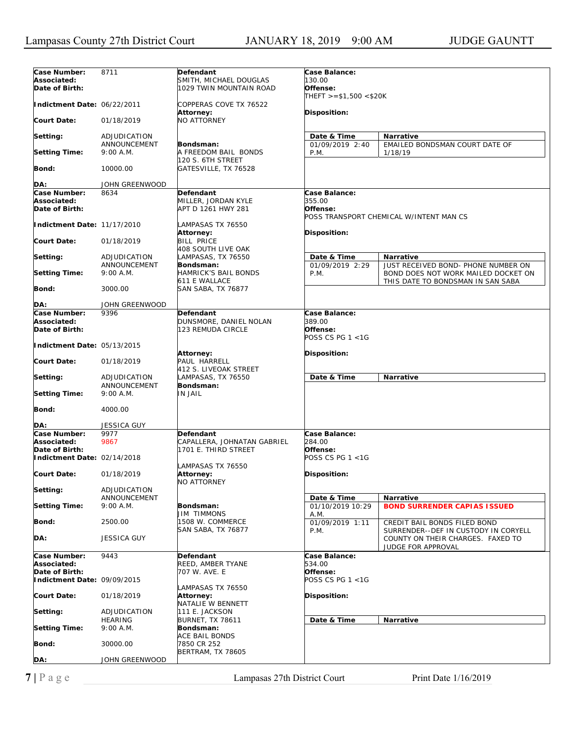| Case Number:                | 8711               | Defendant                             | Case Balance:             |                                         |
|-----------------------------|--------------------|---------------------------------------|---------------------------|-----------------------------------------|
| Associated:                 |                    | SMITH, MICHAEL DOUGLAS                | 130.00                    |                                         |
| Date of Birth:              |                    | 1029 TWIN MOUNTAIN ROAD               | Offense:                  |                                         |
|                             |                    |                                       | $THEFT > = $1,500 < $20K$ |                                         |
| Indictment Date: 06/22/2011 |                    | COPPERAS COVE TX 76522                |                           |                                         |
|                             |                    | Attorney:                             | Disposition:              |                                         |
| Court Date:                 | 01/18/2019         | <b>NO ATTORNEY</b>                    |                           |                                         |
|                             |                    |                                       |                           |                                         |
| Setting:                    | ADJUDICATION       |                                       | Date & Time               | <b>Narrative</b>                        |
|                             | ANNOUNCEMENT       | Bondsman:                             | 01/09/2019 2:40           | EMAILED BONDSMAN COURT DATE OF          |
| <b>Setting Time:</b>        | 9:00 A.M.          | A FREEDOM BAIL BONDS                  | P.M.                      | 1/18/19                                 |
|                             |                    | 120 S. 6TH STREET                     |                           |                                         |
| Bond:                       | 10000.00           | GATESVILLE, TX 76528                  |                           |                                         |
|                             |                    |                                       |                           |                                         |
| DA:                         | JOHN GREENWOOD     |                                       |                           |                                         |
| Case Number:                | 8634               | Defendant                             | Case Balance:             |                                         |
| Associated:                 |                    | MILLER, JORDAN KYLE                   | 355.00                    |                                         |
| Date of Birth:              |                    | APT D 1261 HWY 281                    | Offense:                  |                                         |
|                             |                    |                                       |                           | POSS TRANSPORT CHEMICAL W/INTENT MAN CS |
| Indictment Date: 11/17/2010 |                    | LAMPASAS TX 76550                     |                           |                                         |
|                             |                    | Attorney:                             | Disposition:              |                                         |
| <b>Court Date:</b>          | 01/18/2019         | <b>BILL PRICE</b>                     |                           |                                         |
|                             |                    | <b>408 SOUTH LIVE OAK</b>             |                           |                                         |
| Setting:                    | ADJUDICATION       | LAMPASAS, TX 76550                    | Date & Time               | Narrative                               |
|                             | ANNOUNCEMENT       | Bondsman:                             | 01/09/2019 2:29           | JUST RECEIVED BOND- PHONE NUMBER ON     |
| <b>Setting Time:</b>        | 9:00 A.M.          | HAMRICK'S BAIL BONDS                  | P.M.                      | BOND DOES NOT WORK MAILED DOCKET ON     |
|                             |                    | 611 E WALLACE                         |                           | THIS DATE TO BONDSMAN IN SAN SABA       |
| Bond:                       | 3000.00            | SAN SABA, TX 76877                    |                           |                                         |
|                             |                    |                                       |                           |                                         |
| DA:                         | JOHN GREENWOOD     |                                       |                           |                                         |
| Case Number:                | 9396               | Defendant                             | Case Balance:             |                                         |
| Associated:                 |                    | DUNSMORE, DANIEL NOLAN                | 389.00                    |                                         |
| Date of Birth:              |                    | 123 REMUDA CIRCLE                     | Offense:                  |                                         |
|                             |                    |                                       | POSS CS PG 1 <1G          |                                         |
| Indictment Date: 05/13/2015 |                    |                                       |                           |                                         |
|                             |                    | Attorney:                             | Disposition:              |                                         |
| Court Date:                 | 01/18/2019         | PAUL HARRELL<br>412 S. LIVEOAK STREET |                           |                                         |
|                             | ADJUDICATION       |                                       | Date & Time               | <b>Narrative</b>                        |
| Setting:                    | ANNOUNCEMENT       | LAMPASAS, TX 76550<br>Bondsman:       |                           |                                         |
| <b>Setting Time:</b>        | 9:00 A.M.          | <b>IN JAIL</b>                        |                           |                                         |
|                             |                    |                                       |                           |                                         |
| Bond:                       | 4000.00            |                                       |                           |                                         |
|                             |                    |                                       |                           |                                         |
| DA:                         | <b>JESSICA GUY</b> |                                       |                           |                                         |
| Case Number:                | 9977               | Defendant                             | Case Balance:             |                                         |
| Associated:                 | 9867               | CAPALLERA, JOHNATAN GABRIEL           | <i>284.00</i>             |                                         |
| Date of Birth:              |                    | 1701 E. THIRD STREET                  | Offense:                  |                                         |
| Indictment Date: 02/14/2018 |                    |                                       | POSS CS PG 1 <1G          |                                         |
|                             |                    | LAMPASAS TX 76550                     |                           |                                         |
| <b>Court Date:</b>          | 01/18/2019         | Attorney:                             | Disposition:              |                                         |
|                             |                    | NO ATTORNEY                           |                           |                                         |
| Setting:                    | ADJUDICATION       |                                       |                           |                                         |
|                             | ANNOUNCEMENT       |                                       | Date & Time               | Narrative                               |
| <b>Setting Time:</b>        | 9:00 A.M.          | Bondsman:                             | 01/10/2019 10:29          | <b>BOND SURRENDER CAPIAS ISSUED</b>     |
|                             |                    | <b>JIM TIMMONS</b>                    | A.M.                      |                                         |
| Bond:                       | 2500.00            | 1508 W. COMMERCE                      | 01/09/2019 1:11           | CREDIT BAIL BONDS FILED BOND            |
|                             |                    | SAN SABA, TX 76877                    | P.M.                      | SURRENDER--DEF IN CUSTODY IN CORYELL    |
| DA:                         | <b>JESSICA GUY</b> |                                       |                           | COUNTY ON THEIR CHARGES. FAXED TO       |
|                             |                    |                                       |                           | JUDGE FOR APPROVAL                      |
| Case Number:                | 9443               | Defendant                             | Case Balance:             |                                         |
| Associated:                 |                    | REED, AMBER TYANE                     | <i>534.00</i>             |                                         |
| Date of Birth:              |                    | 707 W. AVE. E                         | Offense:                  |                                         |
| Indictment Date: 09/09/2015 |                    |                                       | POSS CS PG 1 <1G          |                                         |
|                             |                    | LAMPASAS TX 76550                     |                           |                                         |
| <b>Court Date:</b>          | 01/18/2019         | Attorney:                             | Disposition:              |                                         |
|                             |                    | NATALIE W BENNETT                     |                           |                                         |
| Setting:                    | ADJUDICATION       | 111 E. JACKSON                        |                           |                                         |
|                             | <b>HEARING</b>     | <b>BURNET, TX 78611</b>               | Date & Time               | Narrative                               |
| <b>Setting Time:</b>        | 9:00 A.M.          | Bondsman:                             |                           |                                         |
|                             |                    | ACE BAIL BONDS                        |                           |                                         |
| Bond:                       | 30000.00           | 7850 CR 252                           |                           |                                         |
|                             |                    | <b>BERTRAM, TX 78605</b>              |                           |                                         |
| DA:                         | JOHN GREENWOOD     |                                       |                           |                                         |

**7** | P a g e Lampasas 27th District Court Print Date 1/16/2019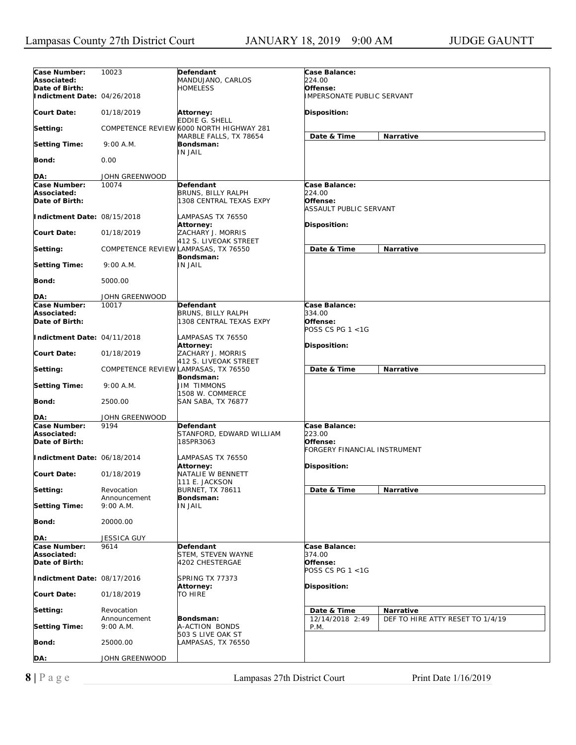| Case Number:<br>Associated:<br>Date of Birth: | 10023                                | Defendant<br>MANDUJANO, CARLOS<br>HOMELESS                         | Case Balance:<br>224.00<br>Offense:                                             |
|-----------------------------------------------|--------------------------------------|--------------------------------------------------------------------|---------------------------------------------------------------------------------|
| Indictment Date: 04/26/2018                   |                                      |                                                                    | IMPERSONATE PUBLIC SERVANT                                                      |
| <b>Court Date:</b>                            | 01/18/2019                           | Attorney:<br>EDDIE G. SHELL                                        | Disposition:                                                                    |
| Setting:                                      |                                      | COMPETENCE REVIEW 6000 NORTH HIGHWAY 281<br>MARBLE FALLS, TX 78654 | Date & Time<br>Narrative                                                        |
| <b>Setting Time:</b>                          | 9:00 A.M.                            | Bondsman:<br>IN JAIL                                               |                                                                                 |
| <b>Bond:</b>                                  | 0.00                                 |                                                                    |                                                                                 |
| DA:                                           | JOHN GREENWOOD                       |                                                                    |                                                                                 |
| Case Number:                                  | 10074                                | Defendant                                                          | Case Balance:                                                                   |
| Associated:<br>Date of Birth:                 |                                      | <b>BRUNS, BILLY RALPH</b><br>1308 CENTRAL TEXAS EXPY               | 224.00<br>Offense:<br>ASSAULT PUBLIC SERVANT                                    |
| Indictment Date: 08/15/2018                   |                                      | LAMPASAS TX 76550<br>Attorney:                                     | Disposition:                                                                    |
| <b>Court Date:</b>                            | 01/18/2019                           | ZACHARY J. MORRIS<br>412 S. LIVEOAK STREET                         |                                                                                 |
| Setting:                                      | COMPETENCE REVIEW LAMPASAS, TX 76550 | Bondsman:                                                          | Date & Time<br>Narrative                                                        |
| <b>Setting Time:</b>                          | 9:00 A.M.                            | <b>IN JAIL</b>                                                     |                                                                                 |
| <b>Bond:</b>                                  | 5000.00                              |                                                                    |                                                                                 |
| DA:                                           | JOHN GREENWOOD                       |                                                                    |                                                                                 |
| Case Number:                                  | 10017                                | Defendant                                                          | Case Balance:                                                                   |
| Associated:<br>Date of Birth:                 |                                      | <b>BRUNS, BILLY RALPH</b><br>1308 CENTRAL TEXAS EXPY               | 334.00<br>Offense:<br>POSS CS PG $1 < 1G$                                       |
| Indictment Date: 04/11/2018                   |                                      | LAMPASAS TX 76550<br><b>Attorney:</b>                              | Disposition:                                                                    |
| <b>Court Date:</b>                            | 01/18/2019                           | ZACHARY J. MORRIS<br>412 S. LIVEOAK STREET                         |                                                                                 |
| Setting:                                      | COMPETENCE REVIEW LAMPASAS, TX 76550 | Bondsman:                                                          | Date & Time<br><b>Narrative</b>                                                 |
| <b>Setting Time:</b>                          | 9:00 A.M.                            | JIM TIMMONS<br>1508 W. COMMERCE                                    |                                                                                 |
| <b>Bond:</b>                                  | 2500.00                              | SAN SABA, TX 76877                                                 |                                                                                 |
| DA:                                           | JOHN GREENWOOD                       |                                                                    |                                                                                 |
| Case Number:                                  | 9194                                 | Defendant                                                          | Case Balance:                                                                   |
| Associated:<br>Date of Birth:                 |                                      | STANFORD, EDWARD WILLIAM<br>185PR3063                              | 223.00<br>Offense:<br>FORGERY FINANCIAL INSTRUMENT                              |
| Indictment Date: 06/18/2014                   |                                      | LAMPASAS TX 76550                                                  |                                                                                 |
| <b>Court Date:</b>                            | 01/18/2019                           | Attorney:<br>NATALIE W BENNETT<br>111 E. JACKSON                   | Disposition:                                                                    |
| Setting:                                      | Revocation<br>Announcement           | <b>BURNET, TX 78611</b><br>Bondsman:                               | Date & Time<br>Narrative                                                        |
| <b>Setting Time:</b>                          | $9:00$ A.M.                          | IN JAIL                                                            |                                                                                 |
| Bond:                                         | 20000.00                             |                                                                    |                                                                                 |
| DA:                                           | JESSICA GUY                          |                                                                    |                                                                                 |
| Case Number:                                  | 9614                                 | Defendant                                                          | Case Balance:                                                                   |
| Associated:<br>Date of Birth:                 |                                      | STEM, STEVEN WAYNE<br>4202 CHESTERGAE                              | 374.00<br>Offense:<br>POSS CS PG 1 <1G                                          |
| Indictment Date: 08/17/2016                   |                                      | SPRING TX 77373<br>Attorney:                                       | Disposition:                                                                    |
| <b>Court Date:</b>                            | 01/18/2019                           | TO HIRE                                                            |                                                                                 |
| Setting:                                      | Revocation<br>Announcement           | Bondsman:                                                          | Date & Time<br>Narrative<br>12/14/2018 2:49<br>DEF TO HIRE ATTY RESET TO 1/4/19 |
| <b>Setting Time:</b>                          | 9:00 A.M.                            | A-ACTION BONDS                                                     | P.M.                                                                            |
| Bond:                                         | 25000.00                             | 503 S LIVE OAK ST<br>LAMPASAS, TX 76550                            |                                                                                 |
| DA:                                           | JOHN GREENWOOD                       |                                                                    |                                                                                 |

**8** | P a g e Lampasas 27th District Court Print Date 1/16/2019